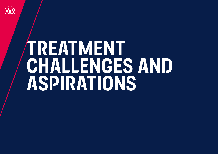

# **TREATMENT challenges AND ASPiRATiONS**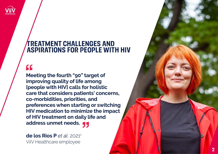

### **TREATMENT CHALLENGES AND ASPIRATIONS FOR PEOPLE WITH HIV**

## $\overline{\mathbf{G}}$

**Meeting the fourth "90" target of improving quality of life among [people with HIV] calls for holistic care that considers patients' concerns, co-morbidities, priorities, and preferences when starting or switching HIV medication to minimize the impact of HIV treatment on daily life and address unmet needs.**

**de los Rios P** *et al.* 2021 1 ViiV Healthcare employee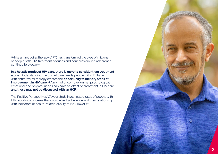While antiretroviral therapy (ART) has transformed the lives of millions of people with HIV, treatment priorities and concerns around adherence continue to evolve.<sup>1,2</sup>

**In a holistic model of HIV care, there is more to consider than treatment alone.** Understanding the unmet care needs people with HIV have with antiretroviral therapy creates the **opportunity to identify areas of improvement in HIV care.**<sup>1,3</sup> A myriad of complex unmet psychological, emotional and physical needs can have an effect on treatment in HIV care, **and these may not be discussed with an HCP.1**

The Positive Perspectives Wave 2 study investigated rates of people with HIV reporting concerns that could affect adherence and their relationship with indicators of health-related quality of life (HRQoL).<sup>1,2</sup>

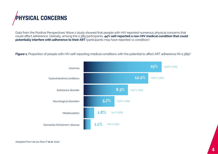# **physical concerns**

Data from the Positive Perspectives Wave 2 study showed that people with HIV reported numerous physical concerns that could affect adherence. Globally, among the 2,389 participants, **44% self-reported a non-HIV medical condition that could potentially interfere with adherence to their ART** (participants may have reported >1 condition).<sup>1</sup>

**Figure 1.** Proportion of people with HIV self-reporting medical conditions with the potential to affect ART adherence (N=2,389).<sup>1</sup>

![](_page_3_Figure_3.jpeg)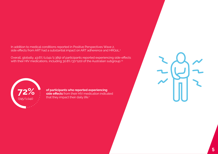### In addition to medical conditions reported in Positive Perspectives Wave 2, side effects from ART had a substantial impact on ART adherence and HRQoL.<sup>1</sup>

Overall, globally, 43.6% (1,041/2,389) of participants reported experiencing side-effects with their HIV medications, including 30.8% (37/120) of the Australian subgroup.<sup>14</sup>

![](_page_4_Picture_2.jpeg)

**72%** is de effects from their HIV medication indica<br>
that they impact their daily life 1 **side effects** from their HIV medication indicated that they impact their daily life.<sup>1</sup>

![](_page_4_Picture_4.jpeg)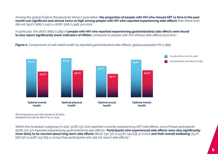Among the global Positive Perspectives Wave 2 population, **the proportion of people with HIV who missed ART ≥1 time in the past month was significant and almost twice as high among people with HIV who reported experiencing side-effects** than those who did not (35.2% [366/1,041] vs 16.8% [226/1,348]; p<0.001).<sup>1</sup>

In particular, the 28.6% (685/2,389) of **people with HIV who reported experiencing gastrointestinal side effects were found to also report significantly lower indicators of HRQoL** compared to people with HIV without side-effects (p<0.001).<sup>1</sup>

**Figure 2.** Comparisons of self-rated health by reported gastrointestinal side-effects, global population (N=2,389).

![](_page_5_Figure_3.jpeg)

All comparisons p<0.001 based on x<sup>2</sup> tests. Adapted from de los Rios P *et al.* 2021.<sup>1</sup>

Within the Australian subgroup (n=120), 30.8% (37/120) reported currently experiencing ART side effects, and of these participants 56.8% (21/37) reported experiencing gastrointestinal side effects.<sup>4</sup> **Participants who experienced side effects were also significantly more likely to be worried about long-term side effects** (86.5% [32/37] vs 53.0% [44/83]; p=0.002) **and their overall wellbeing** (75.7% [28/37] vs 51.8% [43/83]; p=0.014) than participants who did not report side effects.<sup>4</sup>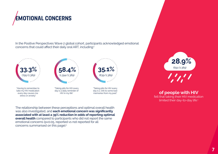![](_page_6_Picture_0.jpeg)

In the Positive Perspectives Wave 2 global cohort, participants acknowledged emotional concerns that could affect their daily oral ART, including:<sup>1</sup>

![](_page_6_Figure_2.jpeg)

The relationship between these perceptions and optimal overall health was also investigated, and **each emotional concern was significantly associated with at least a 39% reduction in odds of reporting optimal overall health** compared to participants who did not report the same emotional concerns (p<0.05, reported vs not reported for all concerns summarised on this page).<sup>1</sup>

**28.9%** (691/2,389)

### of people with HIV

felt that taking their HIV medication limited their day-to-day life.<sup>1</sup>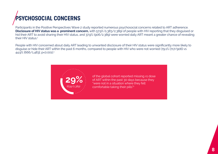# **Psychosocial concerns**

Participants in the Positive Perspectives Wave 2 study reported numerous psychosocial concerns related to ART adherence. **Disclosure of HIV status was a prominent concern,** with 57.9% (1,383/2,389) of people with HIV reporting that they disguised or hid their ART to avoid sharing their HIV status, and 37.9% (906/2,389) were worried daily ART meant a greater chance of revealing their HIV status.<sup>1</sup>

People with HIV concerned about daily ART leading to unwanted disclosure of their HIV status were significantly more likely to disguise or hide their ART within the past 6 months, compared to people with HIV who were not worried (79.1% [717/906] vs 44.9% [666/1,483]; p<0.001).<sup>1</sup>

![](_page_7_Picture_3.jpeg)

of the global cohort reported missing ≥1 dose of ART within the past 30 days because they "were not in a situation where they felt comfortable taking their pills"<sup>2</sup>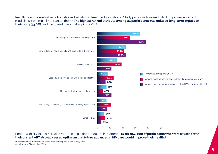Results from the Australian cohort showed variation in treatment aspirations.4 Study participants ranked which improvements to HIV medicines were most important to them.4 **The highest ranked attribute among all participants was reduced long-term impact on their body (33.6%)**, and the lowest was smaller pills (5.5%):<sup>4</sup>

![](_page_8_Figure_1.jpeg)

People with HIV in Australia also reported aspirations about their treatment, **84.0% (84/100) of participants who were satisfied with their current ART also expressed optimism that future advances in HIV care would improve their health.4**

\*10 participants in the Australian sample did not respond to this survey item. Adapted from Allan B *et al.* 20214